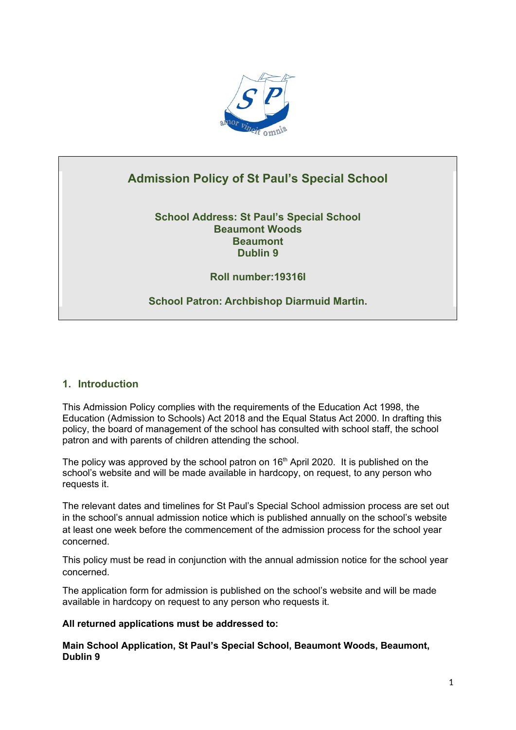

# **Admission Policy of St Paul's Special School**

**School Address: St Paul's Special School Beaumont Woods Beaumont Dublin 9**

**Roll number:19316I**

**School Patron: Archbishop Diarmuid Martin.**

# **1. Introduction**

This Admission Policy complies with the requirements of the Education Act 1998, the Education (Admission to Schools) Act 2018 and the Equal Status Act 2000. In drafting this policy, the board of management of the school has consulted with school staff, the school patron and with parents of children attending the school.

The policy was approved by the school patron on  $16<sup>th</sup>$  April 2020. It is published on the school's website and will be made available in hardcopy, on request, to any person who requests it.

The relevant dates and timelines for St Paul's Special School admission process are set out in the school's annual admission notice which is published annually on the school's website at least one week before the commencement of the admission process for the school year concerned.

This policy must be read in conjunction with the annual admission notice for the school year concerned.

The application form for admission is published on the school's website and will be made available in hardcopy on request to any person who requests it.

# **All returned applications must be addressed to:**

**Main School Application, St Paul's Special School, Beaumont Woods, Beaumont, Dublin 9**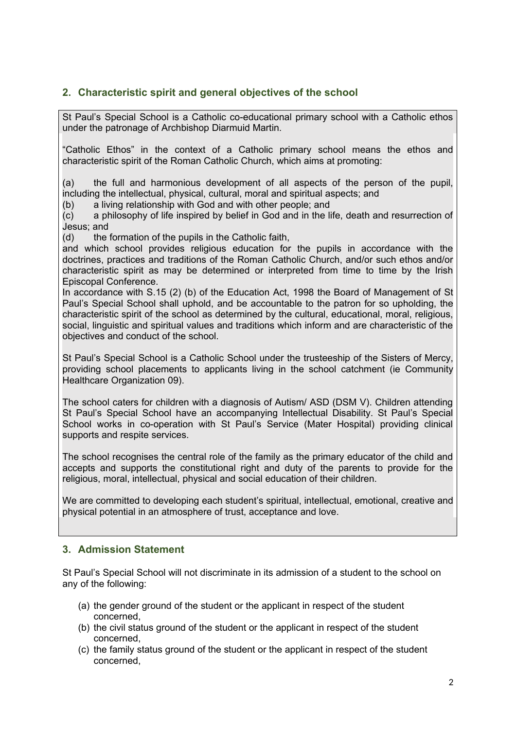# **2. Characteristic spirit and general objectives of the school**

St Paul's Special School is a Catholic co-educational primary school with a Catholic ethos under the patronage of Archbishop Diarmuid Martin.

"Catholic Ethos" in the context of a Catholic primary school means the ethos and characteristic spirit of the Roman Catholic Church, which aims at promoting:

(a) the full and harmonious development of all aspects of the person of the pupil, including the intellectual, physical, cultural, moral and spiritual aspects; and

(b) a living relationship with God and with other people; and

(c) a philosophy of life inspired by belief in God and in the life, death and resurrection of Jesus; and

(d) the formation of the pupils in the Catholic faith,

and which school provides religious education for the pupils in accordance with the doctrines, practices and traditions of the Roman Catholic Church, and/or such ethos and/or characteristic spirit as may be determined or interpreted from time to time by the Irish Episcopal Conference.

In accordance with S.15 (2) (b) of the Education Act, 1998 the Board of Management of St Paul's Special School shall uphold, and be accountable to the patron for so upholding, the characteristic spirit of the school as determined by the cultural, educational, moral, religious, social, linguistic and spiritual values and traditions which inform and are characteristic of the objectives and conduct of the school.

St Paul's Special School is a Catholic School under the trusteeship of the Sisters of Mercy, providing school placements to applicants living in the school catchment (ie Community Healthcare Organization 09).

The school caters for children with a diagnosis of Autism/ ASD (DSM V). Children attending St Paul's Special School have an accompanying Intellectual Disability. St Paul's Special School works in co-operation with St Paul's Service (Mater Hospital) providing clinical supports and respite services.

The school recognises the central role of the family as the primary educator of the child and accepts and supports the constitutional right and duty of the parents to provide for the religious, moral, intellectual, physical and social education of their children.

We are committed to developing each student's spiritual, intellectual, emotional, creative and physical potential in an atmosphere of trust, acceptance and love.

# **3. Admission Statement**

St Paul's Special School will not discriminate in its admission of a student to the school on any of the following:

- (a) the gender ground of the student or the applicant in respect of the student concerned,
- (b) the civil status ground of the student or the applicant in respect of the student concerned,
- (c) the family status ground of the student or the applicant in respect of the student concerned,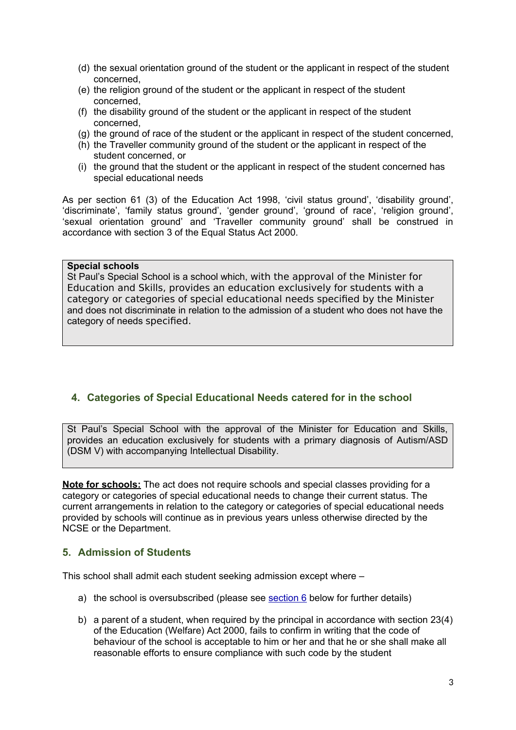- (d) the sexual orientation ground of the student or the applicant in respect of the student concerned,
- (e) the religion ground of the student or the applicant in respect of the student concerned,
- (f) the disability ground of the student or the applicant in respect of the student concerned,
- (g) the ground of race of the student or the applicant in respect of the student concerned,
- (h) the Traveller community ground of the student or the applicant in respect of the student concerned, or
- (i) the ground that the student or the applicant in respect of the student concerned has special educational needs

As per section 61 (3) of the Education Act 1998, 'civil status ground', 'disability ground', 'discriminate', 'family status ground', 'gender ground', 'ground of race', 'religion ground', 'sexual orientation ground' and 'Traveller community ground' shall be construed in accordance with section 3 of the Equal Status Act 2000.

#### **Special schools**

St Paul's Special School is a school which, with the approval of the Minister for Education and Skills, provides an education exclusively for students with a category or categories of special educational needs specified by the Minister and does not discriminate in relation to the admission of a student who does not have the category of needs specified.

# **4. Categories of Special Educational Needs catered for in the school**

St Paul's Special School with the approval of the Minister for Education and Skills, provides an education exclusively for students with a primary diagnosis of Autism/ASD (DSM V) with accompanying Intellectual Disability.

**Note for schools:** The act does not require schools and special classes providing for a category or categories of special educational needs to change their current status. The current arrangements in relation to the category or categories of special educational needs provided by schools will continue as in previous years unless otherwise directed by the NCSE or the Department.

# **5. Admission of Students**

This school shall admit each student seeking admission except where –

- a) the school is oversubscribed (please see [section 6](#page-3-0) below for further details)
- b) a parent of a student, when required by the principal in accordance with section 23(4) of the Education (Welfare) Act 2000, fails to confirm in writing that the code of behaviour of the school is acceptable to him or her and that he or she shall make all reasonable efforts to ensure compliance with such code by the student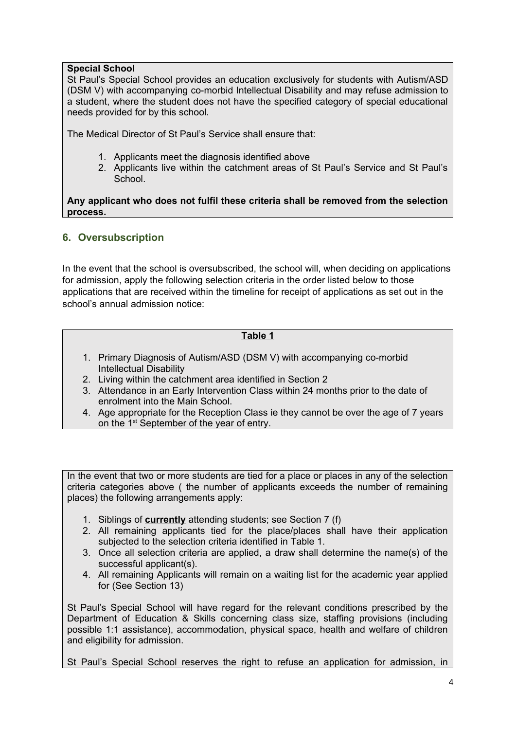### **Special School**

St Paul's Special School provides an education exclusively for students with Autism/ASD (DSM V) with accompanying co-morbid Intellectual Disability and may refuse admission to a student, where the student does not have the specified category of special educational needs provided for by this school.

The Medical Director of St Paul's Service shall ensure that:

- 1. Applicants meet the diagnosis identified above
- 2. Applicants live within the catchment areas of St Paul's Service and St Paul's **School**

**Any applicant who does not fulfil these criteria shall be removed from the selection process.**

# <span id="page-3-0"></span>**6. Oversubscription**

In the event that the school is oversubscribed, the school will, when deciding on applications for admission, apply the following selection criteria in the order listed below to those applications that are received within the timeline for receipt of applications as set out in the school's annual admission notice:

# **Table 1**

- 1. Primary Diagnosis of Autism/ASD (DSM V) with accompanying co-morbid Intellectual Disability
- 2. Living within the catchment area identified in Section 2
- 3. Attendance in an Early Intervention Class within 24 months prior to the date of enrolment into the Main School.
- 4. Age appropriate for the Reception Class ie they cannot be over the age of 7 years on the 1<sup>st</sup> September of the year of entry.

In the event that two or more students are tied for a place or places in any of the selection criteria categories above ( the number of applicants exceeds the number of remaining places) the following arrangements apply:

- 1. Siblings of **currently** attending students; see Section 7 (f)
- 2. All remaining applicants tied for the place/places shall have their application subjected to the selection criteria identified in Table 1.
- 3. Once all selection criteria are applied, a draw shall determine the name(s) of the successful applicant(s).
- 4. All remaining Applicants will remain on a waiting list for the academic year applied for (See Section 13)

St Paul's Special School will have regard for the relevant conditions prescribed by the Department of Education & Skills concerning class size, staffing provisions (including possible 1:1 assistance), accommodation, physical space, health and welfare of children and eligibility for admission.

St Paul's Special School reserves the right to refuse an application for admission, in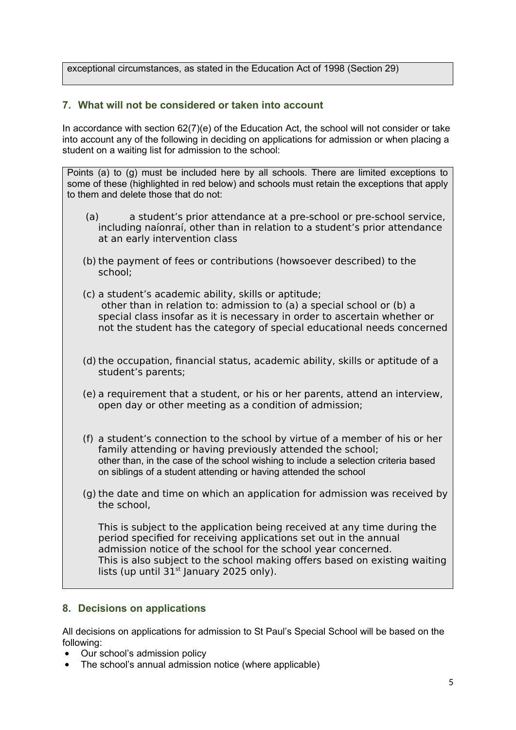exceptional circumstances, as stated in the Education Act of 1998 (Section 29)

### **7. What will not be considered or taken into account**

In accordance with section 62(7)(e) of the Education Act, the school will not consider or take into account any of the following in deciding on applications for admission or when placing a student on a waiting list for admission to the school:

Points (a) to (g) must be included here by all schools. There are limited exceptions to some of these (highlighted in red below) and schools must retain the exceptions that apply to them and delete those that do not:

- (a) a student's prior attendance at a pre-school or pre-school service, including naíonraí, other than in relation to a student's prior attendance at an early intervention class
- (b) the payment of fees or contributions (howsoever described) to the school;
- (c) a student's academic ability, skills or aptitude; other than in relation to: admission to (a) a special school or (b) a special class insofar as it is necessary in order to ascertain whether or not the student has the category of special educational needs concerned
- (d) the occupation, financial status, academic ability, skills or aptitude of a student's parents;
- (e) a requirement that a student, or his or her parents, attend an interview, open day or other meeting as a condition of admission;
- (f) a student's connection to the school by virtue of a member of his or her family attending or having previously attended the school; other than, in the case of the school wishing to include a selection criteria based on siblings of a student attending or having attended the school
- (g) the date and time on which an application for admission was received by the school,

This is subject to the application being received at any time during the period specified for receiving applications set out in the annual admission notice of the school for the school year concerned. This is also subject to the school making offers based on existing waiting lists (up until  $31<sup>st</sup>$  January 2025 only).

#### **8. Decisions on applications**

All decisions on applications for admission to St Paul's Special School will be based on the following:

- Our school's admission policy
- The school's annual admission notice (where applicable)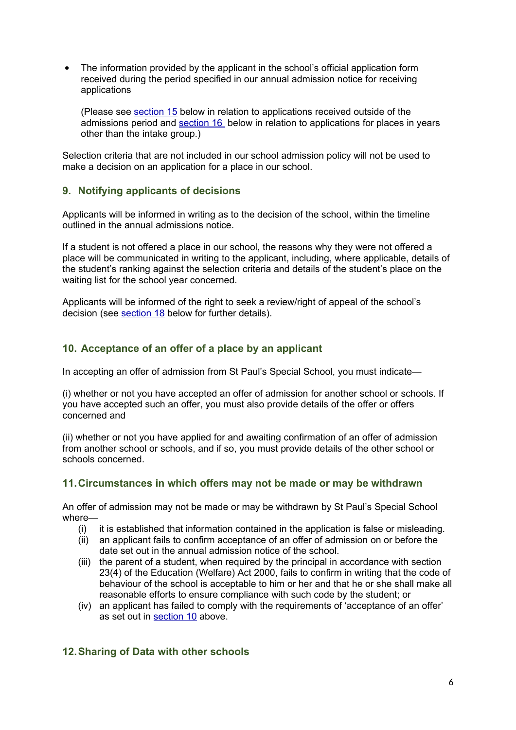The information provided by the applicant in the school's official application form received during the period specified in our annual admission notice for receiving applications

(Please see [section 15](#page-6-0) below in relation to applications received outside of the admissions period and [section 16](#page-7-1) below in relation to applications for places in years other than the intake group.)

Selection criteria that are not included in our school admission policy will not be used to make a decision on an application for a place in our school.

# **9. Notifying applicants of decisions**

Applicants will be informed in writing as to the decision of the school, within the timeline outlined in the annual admissions notice.

If a student is not offered a place in our school, the reasons why they were not offered a place will be communicated in writing to the applicant, including, where applicable, details of the student's ranking against the selection criteria and details of the student's place on the waiting list for the school year concerned.

Applicants will be informed of the right to seek a review/right of appeal of the school's decision (see [section 18](#page-7-0) below for further details).

# <span id="page-5-0"></span>**10. Acceptance of an offer of a place by an applicant**

In accepting an offer of admission from St Paul's Special School, you must indicate—

(i) whether or not you have accepted an offer of admission for another school or schools. If you have accepted such an offer, you must also provide details of the offer or offers concerned and

(ii) whether or not you have applied for and awaiting confirmation of an offer of admission from another school or schools, and if so, you must provide details of the other school or schools concerned.

# **11.Circumstances in which offers may not be made or may be withdrawn**

An offer of admission may not be made or may be withdrawn by St Paul's Special School where—

- (i) it is established that information contained in the application is false or misleading.
- (ii) an applicant fails to confirm acceptance of an offer of admission on or before the date set out in the annual admission notice of the school.
- (iii) the parent of a student, when required by the principal in accordance with section 23(4) of the Education (Welfare) Act 2000, fails to confirm in writing that the code of behaviour of the school is acceptable to him or her and that he or she shall make all reasonable efforts to ensure compliance with such code by the student; or
- (iv) an applicant has failed to comply with the requirements of 'acceptance of an offer' as set out in [section 10](#page-5-0) above.

# **12.Sharing of Data with other schools**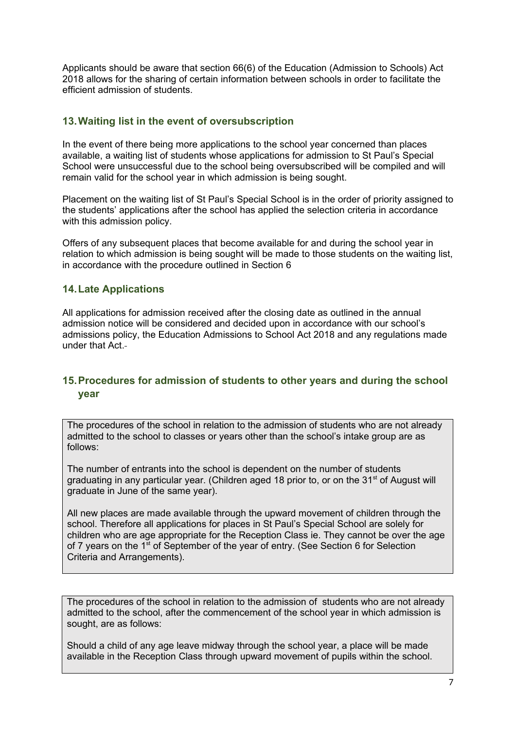Applicants should be aware that section 66(6) of the Education (Admission to Schools) Act 2018 allows for the sharing of certain information between schools in order to facilitate the efficient admission of students.

# **13.Waiting list in the event of oversubscription**

In the event of there being more applications to the school year concerned than places available, a waiting list of students whose applications for admission to St Paul's Special School were unsuccessful due to the school being oversubscribed will be compiled and will remain valid for the school year in which admission is being sought.

Placement on the waiting list of St Paul's Special School is in the order of priority assigned to the students' applications after the school has applied the selection criteria in accordance with this admission policy.

Offers of any subsequent places that become available for and during the school year in relation to which admission is being sought will be made to those students on the waiting list, in accordance with the procedure outlined in Section 6

### **14.Late Applications**

All applications for admission received after the closing date as outlined in the annual admission notice will be considered and decided upon in accordance with our school's admissions policy, the Education Admissions to School Act 2018 and any regulations made under that Act.

# <span id="page-6-0"></span>**15.Procedures for admission of students to other years and during the school year**

The procedures of the school in relation to the admission of students who are not already admitted to the school to classes or years other than the school's intake group are as follows:

The number of entrants into the school is dependent on the number of students graduating in any particular year. (Children aged 18 prior to, or on the  $31<sup>st</sup>$  of August will graduate in June of the same year).

All new places are made available through the upward movement of children through the school. Therefore all applications for places in St Paul's Special School are solely for children who are age appropriate for the Reception Class ie. They cannot be over the age of 7 years on the  $1^{st}$  of September of the year of entry. (See Section 6 for Selection Criteria and Arrangements).

The procedures of the school in relation to the admission of students who are not already admitted to the school, after the commencement of the school year in which admission is sought, are as follows:

Should a child of any age leave midway through the school year, a place will be made available in the Reception Class through upward movement of pupils within the school.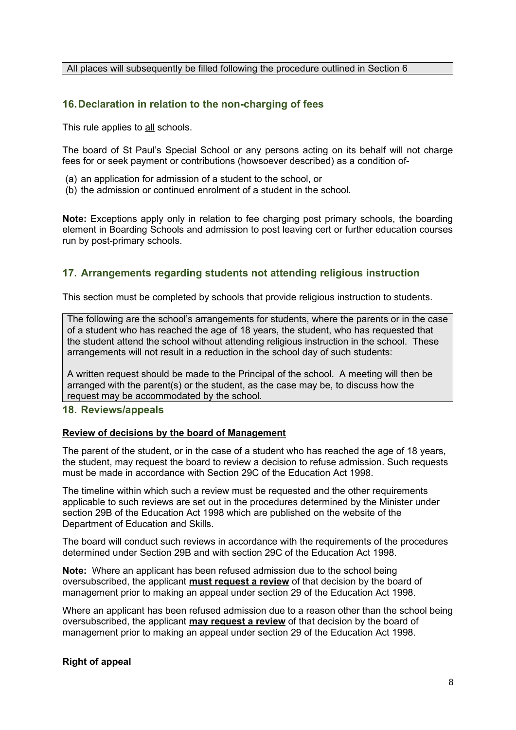#### All places will subsequently be filled following the procedure outlined in Section 6

### <span id="page-7-1"></span>**16.Declaration in relation to the non-charging of fees**

This rule applies to all schools.

The board of St Paul's Special School or any persons acting on its behalf will not charge fees for or seek payment or contributions (howsoever described) as a condition of-

- (a) an application for admission of a student to the school, or
- (b) the admission or continued enrolment of a student in the school.

**Note:** Exceptions apply only in relation to fee charging post primary schools, the boarding element in Boarding Schools and admission to post leaving cert or further education courses run by post-primary schools.

### **17. Arrangements regarding students not attending religious instruction**

This section must be completed by schools that provide religious instruction to students.

The following are the school's arrangements for students, where the parents or in the case of a student who has reached the age of 18 years, the student, who has requested that the student attend the school without attending religious instruction in the school. These arrangements will not result in a reduction in the school day of such students:

A written request should be made to the Principal of the school. A meeting will then be arranged with the parent(s) or the student, as the case may be, to discuss how the request may be accommodated by the school.

#### <span id="page-7-0"></span>**18. Reviews/appeals**

#### **Review of decisions by the board of Management**

The parent of the student, or in the case of a student who has reached the age of 18 years, the student, may request the board to review a decision to refuse admission. Such requests must be made in accordance with Section 29C of the Education Act 1998.

The timeline within which such a review must be requested and the other requirements applicable to such reviews are set out in the procedures determined by the Minister under section 29B of the Education Act 1998 which are published on the website of the Department of Education and Skills.

The board will conduct such reviews in accordance with the requirements of the procedures determined under Section 29B and with section 29C of the Education Act 1998.

**Note:** Where an applicant has been refused admission due to the school being oversubscribed, the applicant **must request a review** of that decision by the board of management prior to making an appeal under section 29 of the Education Act 1998.

Where an applicant has been refused admission due to a reason other than the school being oversubscribed, the applicant **may request a review** of that decision by the board of management prior to making an appeal under section 29 of the Education Act 1998.

#### **Right of appeal**